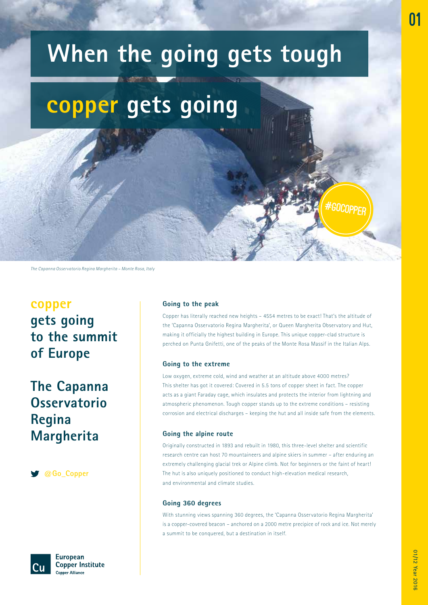## **copper gets going**

*The Capanna Osservatorio Regina Margherita – Monte Rosa, Italy*

### **copper gets going to the summit of Europe**

### **The Capanna Osservatorio Regina Margherita**

**@Go\_Copper**



**European Copper Institute Copper Alliance** 

### **Going to the peak**

Copper has literally reached new heights – 4554 metres to be exact! That's the altitude of the 'Capanna Osservatorio Regina Margherita', or Queen Margherita Observatory and Hut, making it officially the highest building in Europe. This unique copper-clad structure is perched on Punta Gnifetti, one of the peaks of the Monte Rosa Massif in the Italian Alps.

#gocopper

### **Going to the extreme**

Low oxygen, extreme cold, wind and weather at an altitude above 4000 metres? This shelter has got it covered: Covered in 5.5 tons of copper sheet in fact. The copper acts as a giant Faraday cage, which insulates and protects the interior from lightning and atmospheric phenomenon. Tough copper stands up to the extreme conditions – resisting corrosion and electrical discharges – keeping the hut and all inside safe from the elements.

### **Going the alpine route**

Originally constructed in 1893 and rebuilt in 1980, this three-level shelter and scientific research centre can host 70 mountaineers and alpine skiers in summer – after enduring an extremely challenging glacial trek or Alpine climb. Not for beginners or the faint of heart! The hut is also uniquely positioned to conduct high-elevation medical research, and environmental and climate studies.

### **Going 360 degrees**

With stunning views spanning 360 degrees, the 'Capanna Osservatorio Regina Margherita' is a copper-covered beacon – anchored on a 2000 metre precipice of rock and ice. Not merely a summit to be conquered, but a destination in itself.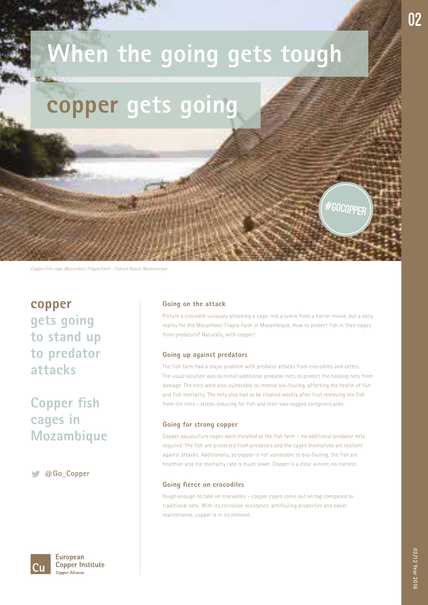## **copper gets going**

*Copper fish cage, Mozambezi Tilapia Farm – Cahora Bassa, Mozambique* 

**copper gets going to stand up to predator attacks** 

### **Copper fish cages in Mozambique**

**@Go\_Copper**

**European Copper Institute Copper Alliance** 

#### **Going on the attack**

Picture a crocodile viciously attacking a cage: not a scene from a horror movie, but a daily reality for the Mozambezi Tilapia Farm in Mozambique. How to protect fish in their cages from predators? Naturally, with copper!

#gocopper

### **Going up against predators**

The fish farm had a major problem with predator attacks from crocodiles and otters. The usual solution was to install additional predator nets to protect the holding nets from damage. The nets were also vulnerable to intense bio-fouling, affecting the health of fish and fish mortality. The nets also had to be cleaned weekly after first removing the fish from the nets – stress-inducing for fish and their two-legged caregivers alike.

#### **Going for strong copper**

Copper aquaculture cages were installed at the fish farm – no additional predator nets required. The fish are protected from predators and the cages themselves are resilient against attacks. Additionally, as copper is not vulnerable to bio-fouling, the fish are healthier and the mortality rate is much lower. Copper is a clear winner, no contest.

### **Going fierce on crocodiles**

Tough enough to take on crocodiles – copper cages come out on top compared to traditional nets. With its corrosion resistance, antifouling properties and easier maintenance, copper is in its element.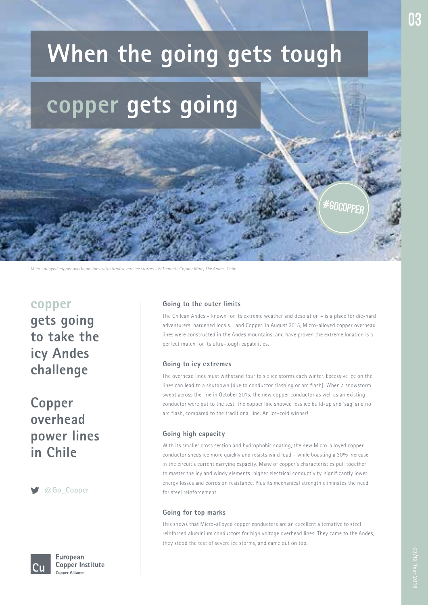## **copper gets going**

*Micro-alloyed copper overhead lines withstand severe ice storms – El Tienente Copper Mine, The Andes, Chile*

### **copper**

**gets going to take the icy Andes challenge**

### **Copper overhead power lines in Chile**

**@Go\_Copper**



European **Copper Institute Copper Alliance** 

### **Going to the outer limits**

The Chilean Andes – known for its extreme weather and desolation – is a place for die-hard adventurers, hardened locals… and Copper. In August 2015, Micro-alloyed copper overhead lines were constructed in the Andes mountains, and have proven the extreme location is a perfect match for its ultra-tough capabilities.

**GOCOPPE** 

### **Going to icy extremes**

The overhead lines must withstand four to six ice storms each winter. Excessive ice on the lines can lead to a shutdown (due to conductor clashing or arc flash). When a snowstorm swept across the line in October 2015, the new copper conductor as well as an existing conductor were put to the test. The copper line showed less ice build-up and 'sag' and no arc flash, compared to the traditional line. An ice-cold winner!

### **Going high capacity**

With its smaller cross section and hydrophobic coating, the new Micro-alloyed copper conductor sheds ice more quickly and resists wind load – while boasting a 30% increase in the circuit's current carrying capacity. Many of copper's characteristics pull together to master the icy and windy elements: higher electrical conductivity, significantly lower energy losses and corrosion resistance. Plus its mechanical strength eliminates the need for steel reinforcement.

### **Going for top marks**

This shows that Micro-alloyed copper conductors are an excellent alternative to steel reinforced aluminium conductors for high voltage overhead lines. They came to the Andes, they stood the test of severe ice storms, and came out on top.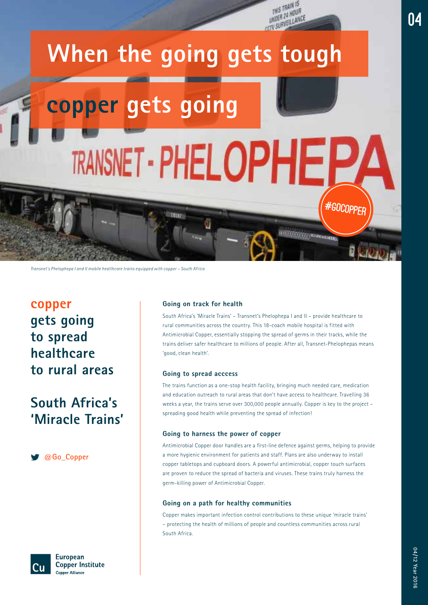

*Transnet's Phelophepa I and II mobile healthcare trains equipped with copper – South Africa*

### **copper gets going to spread healthcare to rural areas**

### **South Africa's 'Miracle Trains'**

**@Go\_Copper**



**European Copper Institute Copper Alliance** 

#### **Going on track for health**

South Africa's 'Miracle Trains' – Transnet's Phelophepa I and II – provide healthcare to rural communities across the country. This 18-coach mobile hospital is fitted with Antimicrobial Copper, essentially stopping the spread of germs in their tracks, while the trains deliver safer healthcare to millions of people. After all, Transnet-Phelophepas means 'good, clean health'.

#### **Going to spread acccess**

The trains function as a one-stop health facility, bringing much needed care, medication and education outreach to rural areas that don't have access to healthcare. Travelling 36 weeks a year, the trains serve over 300,000 people annually. Copper is key to the project – spreading good health while preventing the spread of infection!

#### **Going to harness the power of copper**

Antimicrobial Copper door handles are a first-line defence against germs, helping to provide a more hygienic environment for patients and staff. Plans are also underway to install copper tabletops and cupboard doors. A powerful antimicrobial, copper touch surfaces are proven to reduce the spread of bacteria and viruses. These trains truly harness the germ-killing power of Antimicrobial Copper.

### **Going on a path for healthy communities**

Copper makes important infection control contributions to these unique 'miracle trains' – protecting the health of millions of people and countless communities across rural South Africa.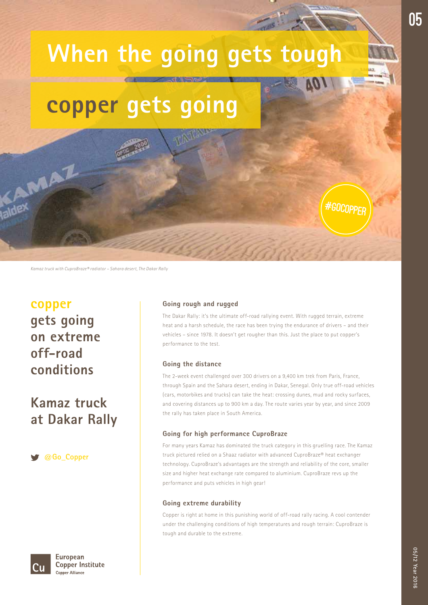## **copper gets going**

*Kamaz truck with CuproBraze® radiator – Sahara desert, The Dakar Rally*

### **copper gets going on extreme off-road conditions**

MAZ

### **Kamaz truck at Dakar Rally**

**@Go\_Copper**

European **Copper Institute Copper Alliance** 

### **Going rough and rugged**

The Dakar Rally: it's the ultimate off-road rallying event. With rugged terrain, extreme heat and a harsh schedule, the race has been trying the endurance of drivers – and their vehicles – since 1978. It doesn't get rougher than this. Just the place to put copper's performance to the test.

#gocopper

### **Going the distance**

The 2-week event challenged over 300 drivers on a 9,400 km trek from Paris, France, through Spain and the Sahara desert, ending in Dakar, Senegal. Only true off-road vehicles (cars, motorbikes and trucks) can take the heat: crossing dunes, mud and rocky surfaces, and covering distances up to 900 km a day. The route varies year by year, and since 2009 the rally has taken place in South America.

### **Going for high performance CuproBraze**

For many years Kamaz has dominated the truck category in this gruelling race. The Kamaz truck pictured relied on a Shaaz radiator with advanced CuproBraze® heat exchanger technology. CuproBraze's advantages are the strength and reliability of the core, smaller size and higher heat exchange rate compared to aluminium. CuproBraze revs up the performance and puts vehicles in high gear!

### **Going extreme durability**

Copper is right at home in this punishing world of off-road rally racing. A cool contender under the challenging conditions of high temperatures and rough terrain: CuproBraze is tough and durable to the extreme.